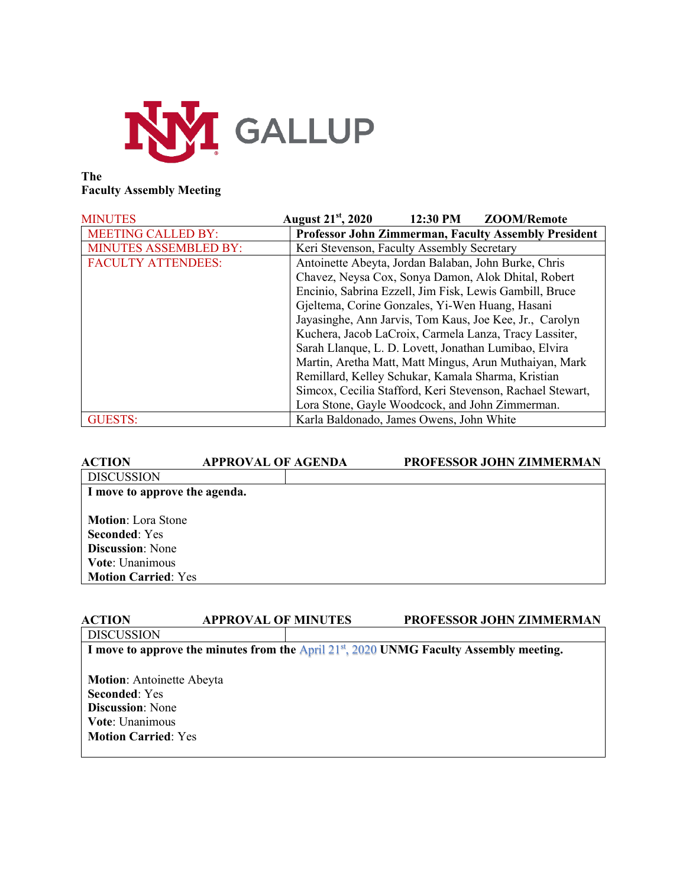

# **The Faculty Assembly Meeting**

| <b>MINUTES</b>               | <b>August 21<sup>st</sup></b> , 2020<br>12:30 PM<br>ZOOM/Remote |  |
|------------------------------|-----------------------------------------------------------------|--|
| <b>MEETING CALLED BY:</b>    | <b>Professor John Zimmerman, Faculty Assembly President</b>     |  |
| <b>MINUTES ASSEMBLED BY:</b> | Keri Stevenson, Faculty Assembly Secretary                      |  |
| <b>FACULTY ATTENDEES:</b>    | Antoinette Abeyta, Jordan Balaban, John Burke, Chris            |  |
|                              | Chavez, Neysa Cox, Sonya Damon, Alok Dhital, Robert             |  |
|                              | Encinio, Sabrina Ezzell, Jim Fisk, Lewis Gambill, Bruce         |  |
|                              | Gjeltema, Corine Gonzales, Yi-Wen Huang, Hasani                 |  |
|                              | Jayasinghe, Ann Jarvis, Tom Kaus, Joe Kee, Jr., Carolyn         |  |
|                              | Kuchera, Jacob LaCroix, Carmela Lanza, Tracy Lassiter,          |  |
|                              | Sarah Llanque, L. D. Lovett, Jonathan Lumibao, Elvira           |  |
|                              | Martin, Aretha Matt, Matt Mingus, Arun Muthaiyan, Mark          |  |
|                              | Remillard, Kelley Schukar, Kamala Sharma, Kristian              |  |
|                              | Simcox, Cecilia Stafford, Keri Stevenson, Rachael Stewart,      |  |
|                              | Lora Stone, Gayle Woodcock, and John Zimmerman.                 |  |
| <b>GUESTS:</b>               | Karla Baldonado, James Owens, John White                        |  |

| <b>ACTION</b>                 | <b>APPROVAL OF AGENDA</b> | PROFESSOR JOHN ZIMMERMAN |
|-------------------------------|---------------------------|--------------------------|
| <b>DISCUSSION</b>             |                           |                          |
| I move to approve the agenda. |                           |                          |
|                               |                           |                          |
| <b>Motion:</b> Lora Stone     |                           |                          |
| <b>Seconded: Yes</b>          |                           |                          |
| <b>Discussion:</b> None       |                           |                          |
| Vote: Unanimous               |                           |                          |
| <b>Motion Carried: Yes</b>    |                           |                          |
|                               |                           |                          |

| <b>ACTION</b>                                                                                | <b>APPROVAL OF MINUTES</b> |  | PROFESSOR JOHN ZIMMERMAN |  |
|----------------------------------------------------------------------------------------------|----------------------------|--|--------------------------|--|
| <b>DISCUSSION</b>                                                                            |                            |  |                          |  |
| I move to approve the minutes from the April $21^{st}$ , 2020 UNMG Faculty Assembly meeting. |                            |  |                          |  |
|                                                                                              |                            |  |                          |  |
| <b>Motion:</b> Antoinette Abeyta                                                             |                            |  |                          |  |
| <b>Seconded:</b> Yes                                                                         |                            |  |                          |  |
| <b>Discussion:</b> None                                                                      |                            |  |                          |  |
| <b>Vote:</b> Unanimous                                                                       |                            |  |                          |  |
| <b>Motion Carried: Yes</b>                                                                   |                            |  |                          |  |
|                                                                                              |                            |  |                          |  |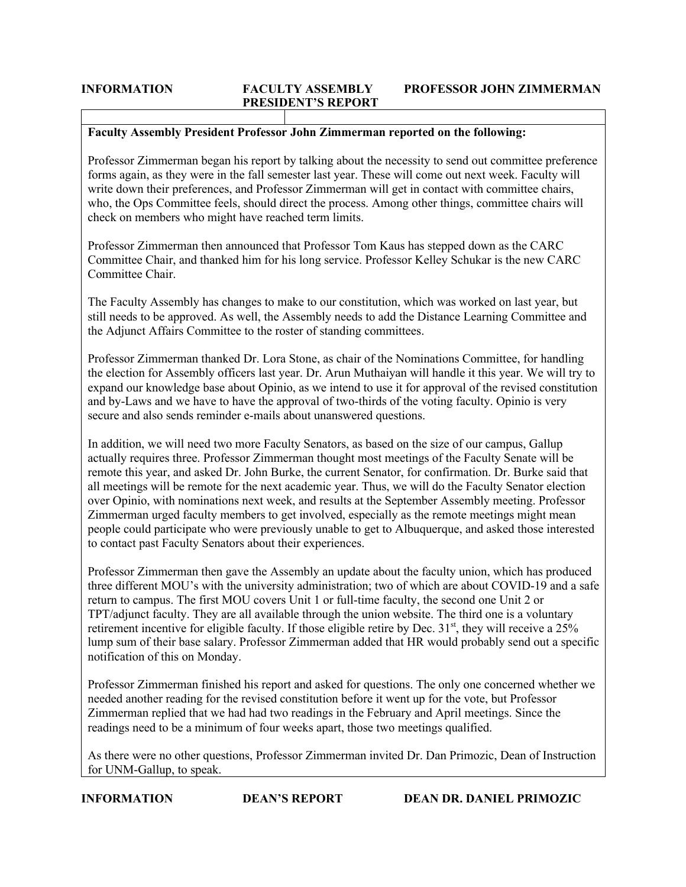## **Faculty Assembly President Professor John Zimmerman reported on the following:**

Professor Zimmerman began his report by talking about the necessity to send out committee preference forms again, as they were in the fall semester last year. These will come out next week. Faculty will write down their preferences, and Professor Zimmerman will get in contact with committee chairs, who, the Ops Committee feels, should direct the process. Among other things, committee chairs will check on members who might have reached term limits.

Professor Zimmerman then announced that Professor Tom Kaus has stepped down as the CARC Committee Chair, and thanked him for his long service. Professor Kelley Schukar is the new CARC Committee Chair.

The Faculty Assembly has changes to make to our constitution, which was worked on last year, but still needs to be approved. As well, the Assembly needs to add the Distance Learning Committee and the Adjunct Affairs Committee to the roster of standing committees.

Professor Zimmerman thanked Dr. Lora Stone, as chair of the Nominations Committee, for handling the election for Assembly officers last year. Dr. Arun Muthaiyan will handle it this year. We will try to expand our knowledge base about Opinio, as we intend to use it for approval of the revised constitution and by-Laws and we have to have the approval of two-thirds of the voting faculty. Opinio is very secure and also sends reminder e-mails about unanswered questions.

In addition, we will need two more Faculty Senators, as based on the size of our campus, Gallup actually requires three. Professor Zimmerman thought most meetings of the Faculty Senate will be remote this year, and asked Dr. John Burke, the current Senator, for confirmation. Dr. Burke said that all meetings will be remote for the next academic year. Thus, we will do the Faculty Senator election over Opinio, with nominations next week, and results at the September Assembly meeting. Professor Zimmerman urged faculty members to get involved, especially as the remote meetings might mean people could participate who were previously unable to get to Albuquerque, and asked those interested to contact past Faculty Senators about their experiences.

Professor Zimmerman then gave the Assembly an update about the faculty union, which has produced three different MOU's with the university administration; two of which are about COVID-19 and a safe return to campus. The first MOU covers Unit 1 or full-time faculty, the second one Unit 2 or TPT/adjunct faculty. They are all available through the union website. The third one is a voluntary retirement incentive for eligible faculty. If those eligible retire by Dec. 31<sup>st</sup>, they will receive a 25% lump sum of their base salary. Professor Zimmerman added that HR would probably send out a specific notification of this on Monday.

Professor Zimmerman finished his report and asked for questions. The only one concerned whether we needed another reading for the revised constitution before it went up for the vote, but Professor Zimmerman replied that we had had two readings in the February and April meetings. Since the readings need to be a minimum of four weeks apart, those two meetings qualified.

As there were no other questions, Professor Zimmerman invited Dr. Dan Primozic, Dean of Instruction for UNM-Gallup, to speak.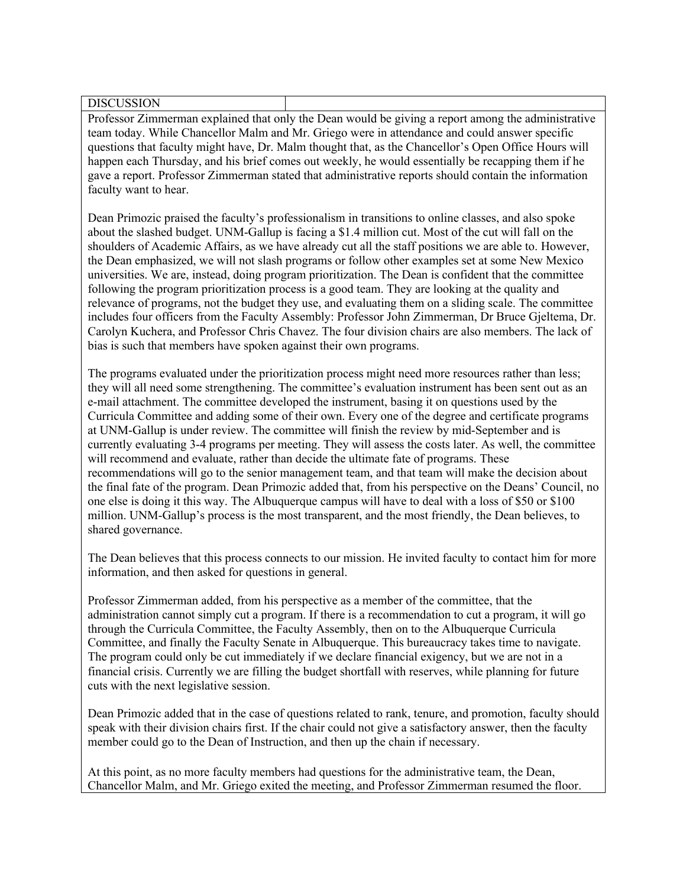DISCUSSION

Professor Zimmerman explained that only the Dean would be giving a report among the administrative team today. While Chancellor Malm and Mr. Griego were in attendance and could answer specific questions that faculty might have, Dr. Malm thought that, as the Chancellor's Open Office Hours will happen each Thursday, and his brief comes out weekly, he would essentially be recapping them if he gave a report. Professor Zimmerman stated that administrative reports should contain the information faculty want to hear.

Dean Primozic praised the faculty's professionalism in transitions to online classes, and also spoke about the slashed budget. UNM-Gallup is facing a \$1.4 million cut. Most of the cut will fall on the shoulders of Academic Affairs, as we have already cut all the staff positions we are able to. However, the Dean emphasized, we will not slash programs or follow other examples set at some New Mexico universities. We are, instead, doing program prioritization. The Dean is confident that the committee following the program prioritization process is a good team. They are looking at the quality and relevance of programs, not the budget they use, and evaluating them on a sliding scale. The committee includes four officers from the Faculty Assembly: Professor John Zimmerman, Dr Bruce Gjeltema, Dr. Carolyn Kuchera, and Professor Chris Chavez. The four division chairs are also members. The lack of bias is such that members have spoken against their own programs.

The programs evaluated under the prioritization process might need more resources rather than less; they will all need some strengthening. The committee's evaluation instrument has been sent out as an e-mail attachment. The committee developed the instrument, basing it on questions used by the Curricula Committee and adding some of their own. Every one of the degree and certificate programs at UNM-Gallup is under review. The committee will finish the review by mid-September and is currently evaluating 3-4 programs per meeting. They will assess the costs later. As well, the committee will recommend and evaluate, rather than decide the ultimate fate of programs. These recommendations will go to the senior management team, and that team will make the decision about the final fate of the program. Dean Primozic added that, from his perspective on the Deans' Council, no one else is doing it this way. The Albuquerque campus will have to deal with a loss of \$50 or \$100 million. UNM-Gallup's process is the most transparent, and the most friendly, the Dean believes, to shared governance.

The Dean believes that this process connects to our mission. He invited faculty to contact him for more information, and then asked for questions in general.

Professor Zimmerman added, from his perspective as a member of the committee, that the administration cannot simply cut a program. If there is a recommendation to cut a program, it will go through the Curricula Committee, the Faculty Assembly, then on to the Albuquerque Curricula Committee, and finally the Faculty Senate in Albuquerque. This bureaucracy takes time to navigate. The program could only be cut immediately if we declare financial exigency, but we are not in a financial crisis. Currently we are filling the budget shortfall with reserves, while planning for future cuts with the next legislative session.

Dean Primozic added that in the case of questions related to rank, tenure, and promotion, faculty should speak with their division chairs first. If the chair could not give a satisfactory answer, then the faculty member could go to the Dean of Instruction, and then up the chain if necessary.

At this point, as no more faculty members had questions for the administrative team, the Dean, Chancellor Malm, and Mr. Griego exited the meeting, and Professor Zimmerman resumed the floor.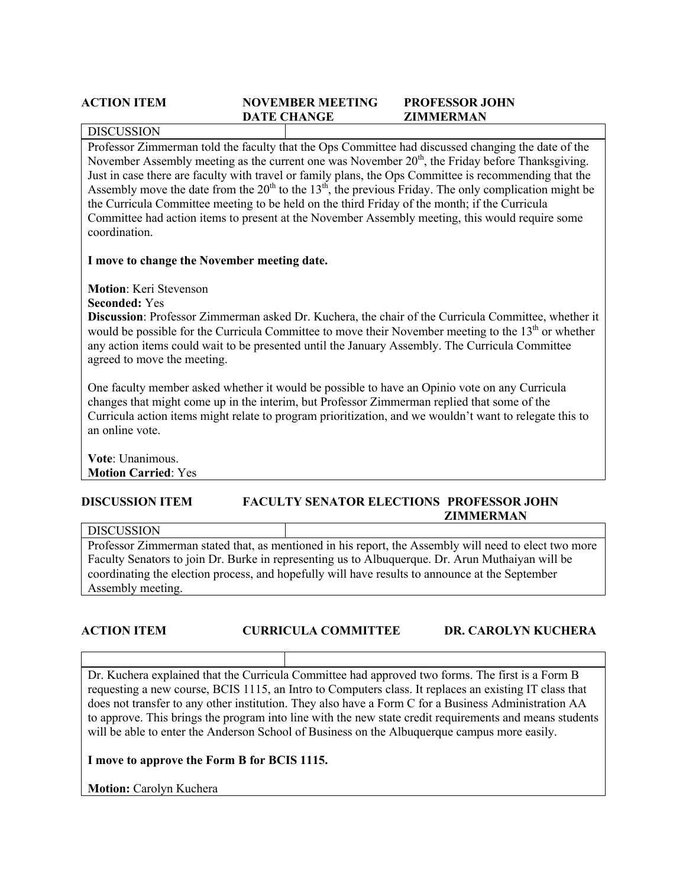### **ACTION ITEM NOVEMBER MEETING PROFESSOR JOHN DATE CHANGE ZIMMERMAN**

# DISCUSSION

Professor Zimmerman told the faculty that the Ops Committee had discussed changing the date of the November Assembly meeting as the current one was November 20<sup>th</sup>, the Friday before Thanksgiving. Just in case there are faculty with travel or family plans, the Ops Committee is recommending that the Assembly move the date from the  $20<sup>th</sup>$  to the  $13<sup>th</sup>$ , the previous Friday. The only complication might be the Curricula Committee meeting to be held on the third Friday of the month; if the Curricula Committee had action items to present at the November Assembly meeting, this would require some coordination.

### **I move to change the November meeting date.**

**Motion**: Keri Stevenson

**Seconded:** Yes

**Discussion**: Professor Zimmerman asked Dr. Kuchera, the chair of the Curricula Committee, whether it would be possible for the Curricula Committee to move their November meeting to the  $13<sup>th</sup>$  or whether any action items could wait to be presented until the January Assembly. The Curricula Committee agreed to move the meeting.

One faculty member asked whether it would be possible to have an Opinio vote on any Curricula changes that might come up in the interim, but Professor Zimmerman replied that some of the Curricula action items might relate to program prioritization, and we wouldn't want to relegate this to an online vote.

**Vote**: Unanimous. **Motion Carried**: Yes

### **DISCUSSION ITEM FACULTY SENATOR ELECTIONS PROFESSOR JOHN ZIMMERMAN**

### DISCUSSION

Professor Zimmerman stated that, as mentioned in his report, the Assembly will need to elect two more Faculty Senators to join Dr. Burke in representing us to Albuquerque. Dr. Arun Muthaiyan will be coordinating the election process, and hopefully will have results to announce at the September Assembly meeting.

# **ACTION ITEM CURRICULA COMMITTEE DR. CAROLYN KUCHERA**

Dr. Kuchera explained that the Curricula Committee had approved two forms. The first is a Form B requesting a new course, BCIS 1115, an Intro to Computers class. It replaces an existing IT class that does not transfer to any other institution. They also have a Form C for a Business Administration AA to approve. This brings the program into line with the new state credit requirements and means students will be able to enter the Anderson School of Business on the Albuquerque campus more easily.

# **I move to approve the Form B for BCIS 1115.**

**Motion: Carolyn Kuchera**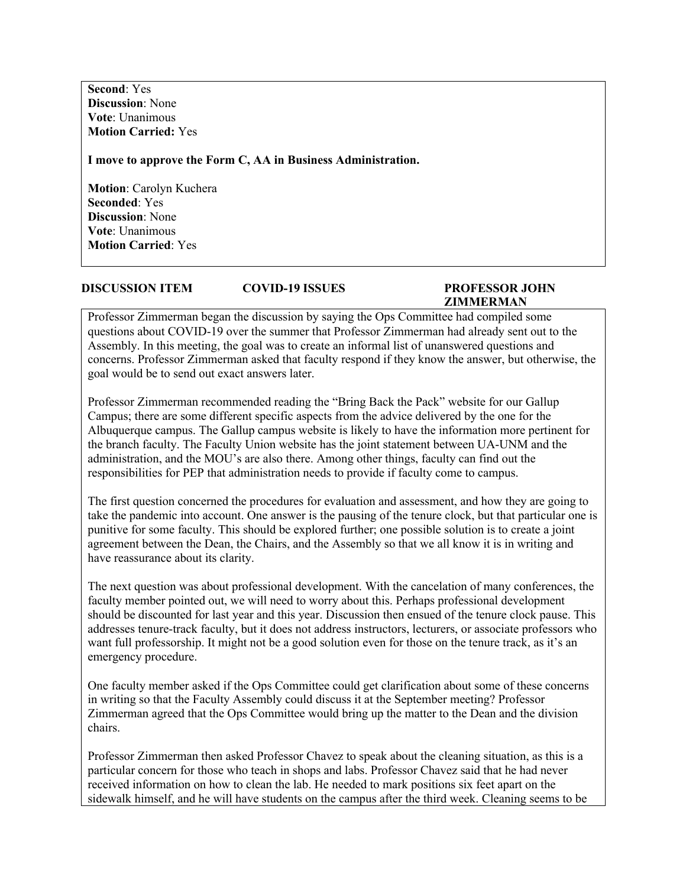**Second**: Yes **Discussion**: None **Vote**: Unanimous **Motion Carried:** Yes

**I move to approve the Form C, AA in Business Administration.**

**Motion**: Carolyn Kuchera **Seconded**: Yes **Discussion**: None **Vote**: Unanimous **Motion Carried**: Yes

### **DISCUSSION ITEM COVID-19 ISSUES PROFESSOR JOHN**

# **ZIMMERMAN**

Professor Zimmerman began the discussion by saying the Ops Committee had compiled some questions about COVID-19 over the summer that Professor Zimmerman had already sent out to the Assembly. In this meeting, the goal was to create an informal list of unanswered questions and concerns. Professor Zimmerman asked that faculty respond if they know the answer, but otherwise, the goal would be to send out exact answers later.

Professor Zimmerman recommended reading the "Bring Back the Pack" website for our Gallup Campus; there are some different specific aspects from the advice delivered by the one for the Albuquerque campus. The Gallup campus website is likely to have the information more pertinent for the branch faculty. The Faculty Union website has the joint statement between UA-UNM and the administration, and the MOU's are also there. Among other things, faculty can find out the responsibilities for PEP that administration needs to provide if faculty come to campus.

The first question concerned the procedures for evaluation and assessment, and how they are going to take the pandemic into account. One answer is the pausing of the tenure clock, but that particular one is punitive for some faculty. This should be explored further; one possible solution is to create a joint agreement between the Dean, the Chairs, and the Assembly so that we all know it is in writing and have reassurance about its clarity.

The next question was about professional development. With the cancelation of many conferences, the faculty member pointed out, we will need to worry about this. Perhaps professional development should be discounted for last year and this year. Discussion then ensued of the tenure clock pause. This addresses tenure-track faculty, but it does not address instructors, lecturers, or associate professors who want full professorship. It might not be a good solution even for those on the tenure track, as it's an emergency procedure.

One faculty member asked if the Ops Committee could get clarification about some of these concerns in writing so that the Faculty Assembly could discuss it at the September meeting? Professor Zimmerman agreed that the Ops Committee would bring up the matter to the Dean and the division chairs.

Professor Zimmerman then asked Professor Chavez to speak about the cleaning situation, as this is a particular concern for those who teach in shops and labs. Professor Chavez said that he had never received information on how to clean the lab. He needed to mark positions six feet apart on the sidewalk himself, and he will have students on the campus after the third week. Cleaning seems to be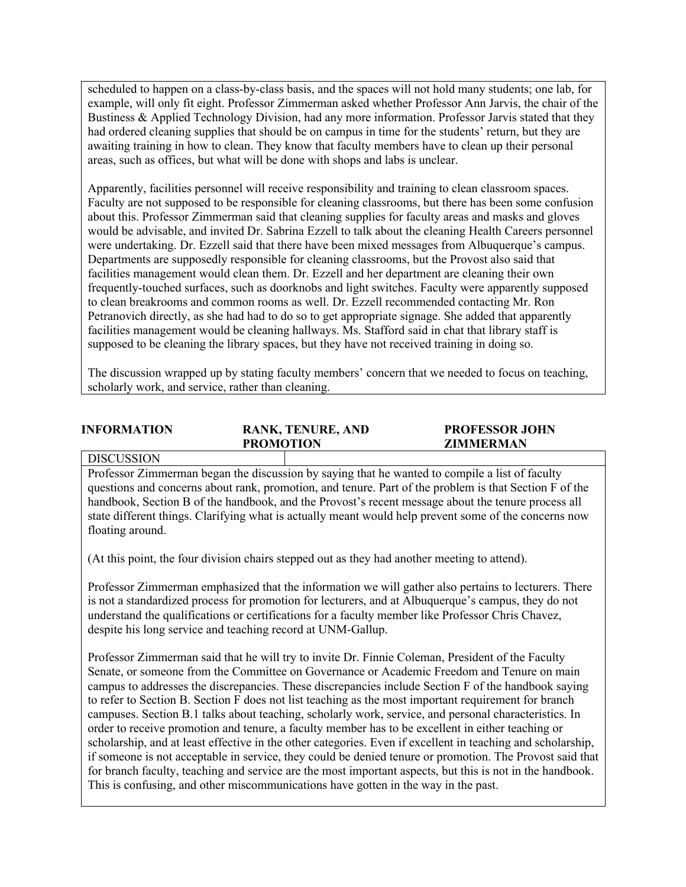scheduled to happen on a class-by-class basis, and the spaces will not hold many students; one lab, for example, will only fit eight. Professor Zimmerman asked whether Professor Ann Jarvis, the chair of the Bustiness & Applied Technology Division, had any more information. Professor Jarvis stated that they had ordered cleaning supplies that should be on campus in time for the students' return, but they are awaiting training in how to clean. They know that faculty members have to clean up their personal areas, such as offices, but what will be done with shops and labs is unclear.

Apparently, facilities personnel will receive responsibility and training to clean classroom spaces. Faculty are not supposed to be responsible for cleaning classrooms, but there has been some confusion about this. Professor Zimmerman said that cleaning supplies for faculty areas and masks and gloves would be advisable, and invited Dr. Sabrina Ezzell to talk about the cleaning Health Careers personnel were undertaking. Dr. Ezzell said that there have been mixed messages from Albuquerque's campus. Departments are supposedly responsible for cleaning classrooms, but the Provost also said that facilities management would clean them. Dr. Ezzell and her department are cleaning their own frequently-touched surfaces, such as doorknobs and light switches. Faculty were apparently supposed to clean breakrooms and common rooms as well. Dr. Ezzell recommended contacting Mr. Ron Petranovich directly, as she had had to do so to get appropriate signage. She added that apparently facilities management would be cleaning hallways. Ms. Stafford said in chat that library staff is supposed to be cleaning the library spaces, but they have not received training in doing so.

The discussion wrapped up by stating faculty members' concern that we needed to focus on teaching, scholarly work, and service, rather than cleaning.

| <b>INFORMATION</b> | <b>RANK, TENURE, AND</b> | <b>PROFESSOR JOHN</b> |
|--------------------|--------------------------|-----------------------|
|                    | <b>PROMOTION</b>         | <b>ZIMMERMAN</b>      |
| <b>DISCUSSION</b>  |                          |                       |

Professor Zimmerman began the discussion by saying that he wanted to compile a list of faculty questions and concerns about rank, promotion, and tenure. Part of the problem is that Section F of the handbook, Section B of the handbook, and the Provost's recent message about the tenure process all state different things. Clarifying what is actually meant would help prevent some of the concerns now floating around.

(At this point, the four division chairs stepped out as they had another meeting to attend).

Professor Zimmerman emphasized that the information we will gather also pertains to lecturers. There is not a standardized process for promotion for lecturers, and at Albuquerque's campus, they do not understand the qualifications or certifications for a faculty member like Professor Chris Chavez, despite his long service and teaching record at UNM-Gallup.

Professor Zimmerman said that he will try to invite Dr. Finnie Coleman, President of the Faculty Senate, or someone from the Committee on Governance or Academic Freedom and Tenure on main campus to addresses the discrepancies. These discrepancies include Section F of the handbook saying to refer to Section B. Section F does not list teaching as the most important requirement for branch campuses. Section B.1 talks about teaching, scholarly work, service, and personal characteristics. In order to receive promotion and tenure, a faculty member has to be excellent in either teaching or scholarship, and at least effective in the other categories. Even if excellent in teaching and scholarship, if someone is not acceptable in service, they could be denied tenure or promotion. The Provost said that for branch faculty, teaching and service are the most important aspects, but this is not in the handbook. This is confusing, and other miscommunications have gotten in the way in the past.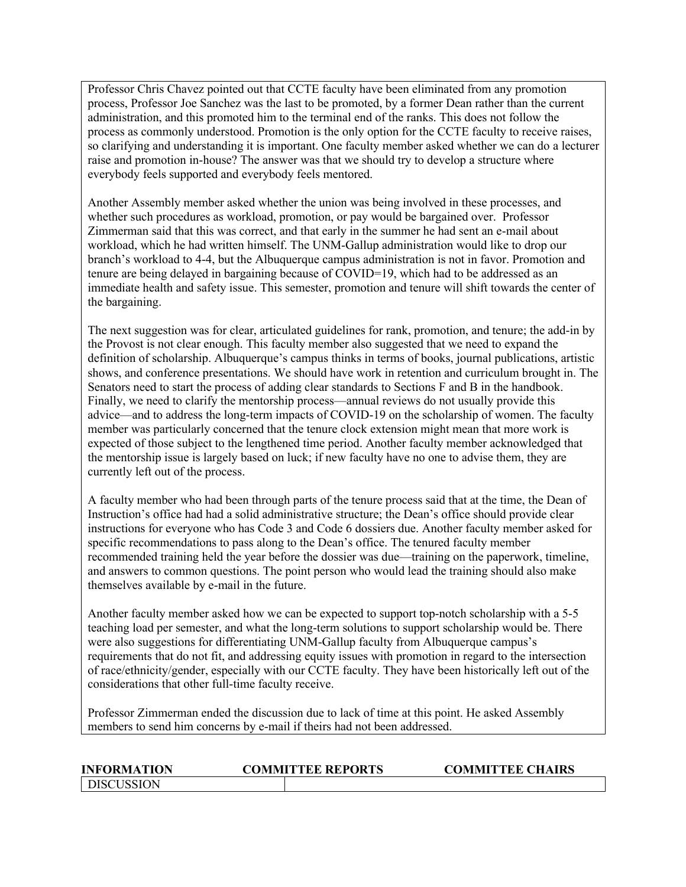Professor Chris Chavez pointed out that CCTE faculty have been eliminated from any promotion process, Professor Joe Sanchez was the last to be promoted, by a former Dean rather than the current administration, and this promoted him to the terminal end of the ranks. This does not follow the process as commonly understood. Promotion is the only option for the CCTE faculty to receive raises, so clarifying and understanding it is important. One faculty member asked whether we can do a lecturer raise and promotion in-house? The answer was that we should try to develop a structure where everybody feels supported and everybody feels mentored.

Another Assembly member asked whether the union was being involved in these processes, and whether such procedures as workload, promotion, or pay would be bargained over. Professor Zimmerman said that this was correct, and that early in the summer he had sent an e-mail about workload, which he had written himself. The UNM-Gallup administration would like to drop our branch's workload to 4-4, but the Albuquerque campus administration is not in favor. Promotion and tenure are being delayed in bargaining because of COVID=19, which had to be addressed as an immediate health and safety issue. This semester, promotion and tenure will shift towards the center of the bargaining.

The next suggestion was for clear, articulated guidelines for rank, promotion, and tenure; the add-in by the Provost is not clear enough. This faculty member also suggested that we need to expand the definition of scholarship. Albuquerque's campus thinks in terms of books, journal publications, artistic shows, and conference presentations. We should have work in retention and curriculum brought in. The Senators need to start the process of adding clear standards to Sections F and B in the handbook. Finally, we need to clarify the mentorship process—annual reviews do not usually provide this advice—and to address the long-term impacts of COVID-19 on the scholarship of women. The faculty member was particularly concerned that the tenure clock extension might mean that more work is expected of those subject to the lengthened time period. Another faculty member acknowledged that the mentorship issue is largely based on luck; if new faculty have no one to advise them, they are currently left out of the process.

A faculty member who had been through parts of the tenure process said that at the time, the Dean of Instruction's office had had a solid administrative structure; the Dean's office should provide clear instructions for everyone who has Code 3 and Code 6 dossiers due. Another faculty member asked for specific recommendations to pass along to the Dean's office. The tenured faculty member recommended training held the year before the dossier was due—training on the paperwork, timeline, and answers to common questions. The point person who would lead the training should also make themselves available by e-mail in the future.

Another faculty member asked how we can be expected to support top-notch scholarship with a 5-5 teaching load per semester, and what the long-term solutions to support scholarship would be. There were also suggestions for differentiating UNM-Gallup faculty from Albuquerque campus's requirements that do not fit, and addressing equity issues with promotion in regard to the intersection of race/ethnicity/gender, especially with our CCTE faculty. They have been historically left out of the considerations that other full-time faculty receive.

Professor Zimmerman ended the discussion due to lack of time at this point. He asked Assembly members to send him concerns by e-mail if theirs had not been addressed.

| <b>INFORMATION</b>  | <b>COMMITTEE REPORTS</b> | <b>COMMITTEE CHAIRS</b> |
|---------------------|--------------------------|-------------------------|
| <b>I</b> DISCUSSION |                          |                         |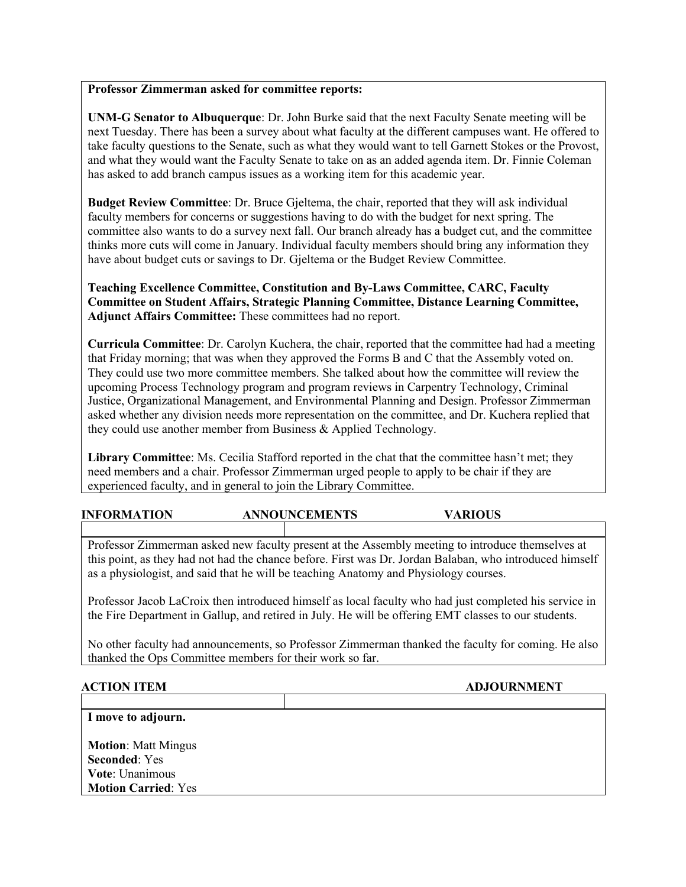# **Professor Zimmerman asked for committee reports:**

**UNM-G Senator to Albuquerque**: Dr. John Burke said that the next Faculty Senate meeting will be next Tuesday. There has been a survey about what faculty at the different campuses want. He offered to take faculty questions to the Senate, such as what they would want to tell Garnett Stokes or the Provost, and what they would want the Faculty Senate to take on as an added agenda item. Dr. Finnie Coleman has asked to add branch campus issues as a working item for this academic year.

**Budget Review Committee**: Dr. Bruce Gjeltema, the chair, reported that they will ask individual faculty members for concerns or suggestions having to do with the budget for next spring. The committee also wants to do a survey next fall. Our branch already has a budget cut, and the committee thinks more cuts will come in January. Individual faculty members should bring any information they have about budget cuts or savings to Dr. Gjeltema or the Budget Review Committee.

**Teaching Excellence Committee, Constitution and By-Laws Committee, CARC, Faculty Committee on Student Affairs, Strategic Planning Committee, Distance Learning Committee, Adjunct Affairs Committee:** These committees had no report.

**Curricula Committee**: Dr. Carolyn Kuchera, the chair, reported that the committee had had a meeting that Friday morning; that was when they approved the Forms B and C that the Assembly voted on. They could use two more committee members. She talked about how the committee will review the upcoming Process Technology program and program reviews in Carpentry Technology, Criminal Justice, Organizational Management, and Environmental Planning and Design. Professor Zimmerman asked whether any division needs more representation on the committee, and Dr. Kuchera replied that they could use another member from Business & Applied Technology.

**Library Committee**: Ms. Cecilia Stafford reported in the chat that the committee hasn't met; they need members and a chair. Professor Zimmerman urged people to apply to be chair if they are experienced faculty, and in general to join the Library Committee.

**INFORMATION ANNOUNCEMENTS VARIOUS**

Professor Zimmerman asked new faculty present at the Assembly meeting to introduce themselves at this point, as they had not had the chance before. First was Dr. Jordan Balaban, who introduced himself as a physiologist, and said that he will be teaching Anatomy and Physiology courses.

Professor Jacob LaCroix then introduced himself as local faculty who had just completed his service in the Fire Department in Gallup, and retired in July. He will be offering EMT classes to our students.

No other faculty had announcements, so Professor Zimmerman thanked the faculty for coming. He also thanked the Ops Committee members for their work so far.

**ACTION ITEM ADJOURNMENT**

**I move to adjourn.**

**Motion**: Matt Mingus **Seconded**: Yes **Vote**: Unanimous **Motion Carried**: Yes